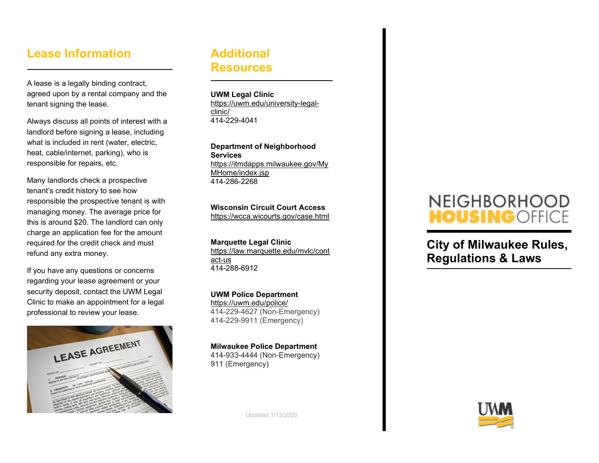## **Lease Information**

A lease is a legally binding contract, agreed upon by a rental company and the tenant signing the lease.

Always discuss all points of interest with a landlord before signing a lease, including what is included in rent (water, electric, heat, cable/internet, parking), who is responsible for repairs, etc.

Many landlords check a prospective tenant's credit history to see how responsible the prospective tenant is with managing money. The average price for this is around \$20. The landlord can only charge an application fee for the amount required for the credit check and must refund any extra money.

If you have any questions or concerns regarding your lease agreement or your security deposit, contact the UWM Legal Clinic to make an appointment for a legal professional to review your lease.



### **Additional Resources**

**UWM Legal Clinic** [https://uwm.edu/university-legal](https://uwm.edu/university-legal-clinic/)[clinic/](https://uwm.edu/university-legal-clinic/) 414-229-4041

**Department of Neighborhood Services** [https://itmdapps.milwaukee.gov/My](https://itmdapps.milwaukee.gov/MyMHome/index.jsp) [MHome/index.jsp](https://itmdapps.milwaukee.gov/MyMHome/index.jsp) 414-286-2268

#### **Wisconsin Circuit Court Access**

<https://wcca.wicourts.gov/case.html>

**Marquette Legal Clinic** [https://law.marquette.edu/mvlc/cont](https://law.marquette.edu/mvlc/contact-us) [act-us](https://law.marquette.edu/mvlc/contact-us) 414-288-6912

#### **UWM Police Department**

<https://uwm.edu/police/> 414-229-4627 (Non-Emergency) 414-229-9911 (Emergency)

**Milwaukee Police Department** 414-933-4444 (Non-Emergency)

911 (Emergency)



**City of Milwaukee Rules, Regulations & Laws**



Updated 1/13/2020